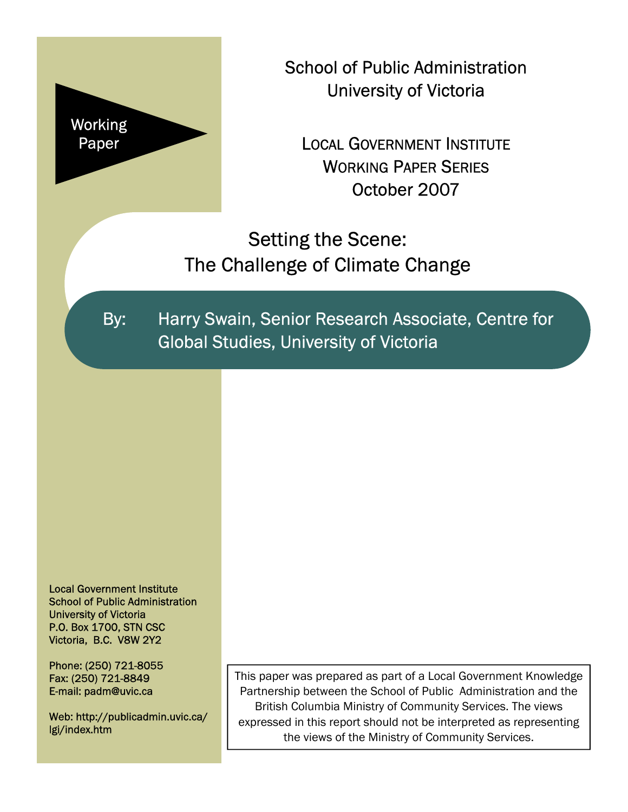

School of Public Administration University of Victoria

LOCAL GOVERNMENT INSTITUTE WORKING PAPER SERIES October 2007

Setting the Scene: The Challenge of Climate Change

By: Harry Swain, Senior Research Associate, Centre for Global Studies, University of Victoria

Local Government Institute School of Public Administration University of Victoria P.O. Box 1700, STN CSC Victoria, B.C. V8W 2Y2

Phone: (250) 721-8055 Fax: (250) 721-8849 E-mail: padm@uvic.ca

Web: http://publicadmin.uvic.ca/ lgi/index.htm

This paper was prepared as part of a Local Government Knowledge Partnership between the School of Public Administration and the British Columbia Ministry of Community Services. The views expressed in this report should not be interpreted as representing the views of the Ministry of Community Services.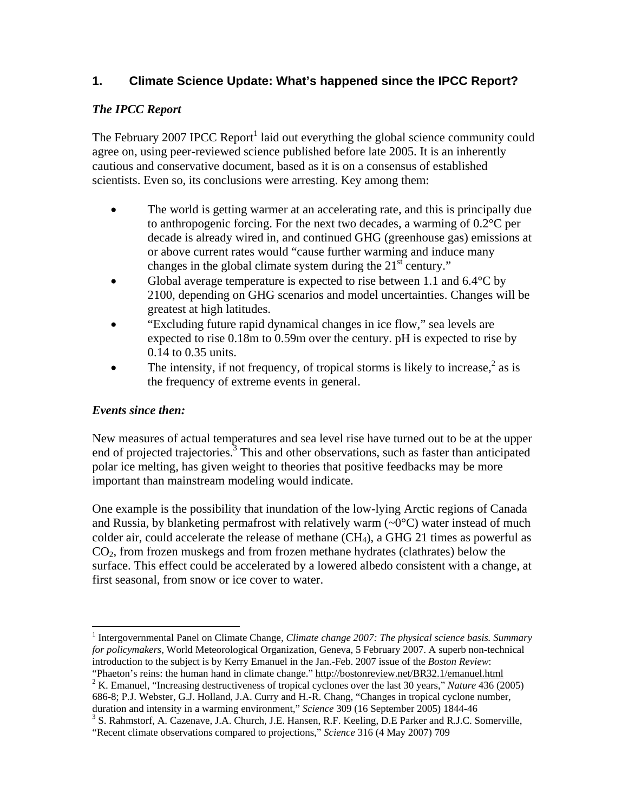# **1. Climate Science Update: What's happened since the IPCC Report?**

### *The IPCC Report*

The February 2007 IPCC Report<sup>1</sup> laid out everything the global science community could agree on, using peer-reviewed science published before late 2005. It is an inherently cautious and conservative document, based as it is on a consensus of established scientists. Even so, its conclusions were arresting. Key among them:

- The world is getting warmer at an accelerating rate, and this is principally due to anthropogenic forcing. For the next two decades, a warming of 0.2°C per decade is already wired in, and continued GHG (greenhouse gas) emissions at or above current rates would "cause further warming and induce many changes in the global climate system during the  $21<sup>st</sup>$  century."
- Global average temperature is expected to rise between 1.1 and  $6.4^{\circ}$ C by 2100, depending on GHG scenarios and model uncertainties. Changes will be greatest at high latitudes.
- "Excluding future rapid dynamical changes in ice flow," sea levels are expected to rise 0.18m to 0.59m over the century. pH is expected to rise by 0.14 to 0.35 units.
- The intensity, if not frequency, of tropical storms is likely to increase,  $2$  as is the frequency of extreme events in general.

#### *Events since then:*

1

New measures of actual temperatures and sea level rise have turned out to be at the upper end of projected trajectories.<sup>3</sup> This and other observations, such as faster than anticipated polar ice melting, has given weight to theories that positive feedbacks may be more important than mainstream modeling would indicate.

One example is the possibility that inundation of the low-lying Arctic regions of Canada and Russia, by blanketing permafrost with relatively warm  $(\sim 0^{\circ}C)$  water instead of much colder air, could accelerate the release of methane  $(CH_4)$ , a GHG 21 times as powerful as  $CO<sub>2</sub>$ , from frozen muskegs and from frozen methane hydrates (clathrates) below the surface. This effect could be accelerated by a lowered albedo consistent with a change, at first seasonal, from snow or ice cover to water.

<sup>&</sup>lt;sup>1</sup> Intergovernmental Panel on Climate Change, Climate change 2007: The physical science basis. Summary *for policymakers*, World Meteorological Organization, Geneva, 5 February 2007. A superb non-technical introduction to the subject is by Kerry Emanuel in the Jan.-Feb. 2007 issue of the *Boston Review*: "Phaeton's reins: the human hand in climate change." http://bostonreview.net/BR32.1/emanuel.html 2

<sup>&</sup>lt;sup>2</sup> K. Emanuel, "Increasing destructiveness of tropical cyclones over the last 30 years," *Nature* 436 (2005) 686-8; P.J. Webster, G.J. Holland, J.A. Curry and H.-R. Chang, "Changes in tropical cyclone number, duration and intensity in a warming environment," *Science* 309 (16 September 2005) 1844-46

<sup>&</sup>lt;sup>3</sup> S. Rahmstorf, A. Cazenave, J.A. Church, J.E. Hansen, R.F. Keeling, D.E Parker and R.J.C. Somerville, "Recent climate observations compared to projections," *Science* 316 (4 May 2007) 709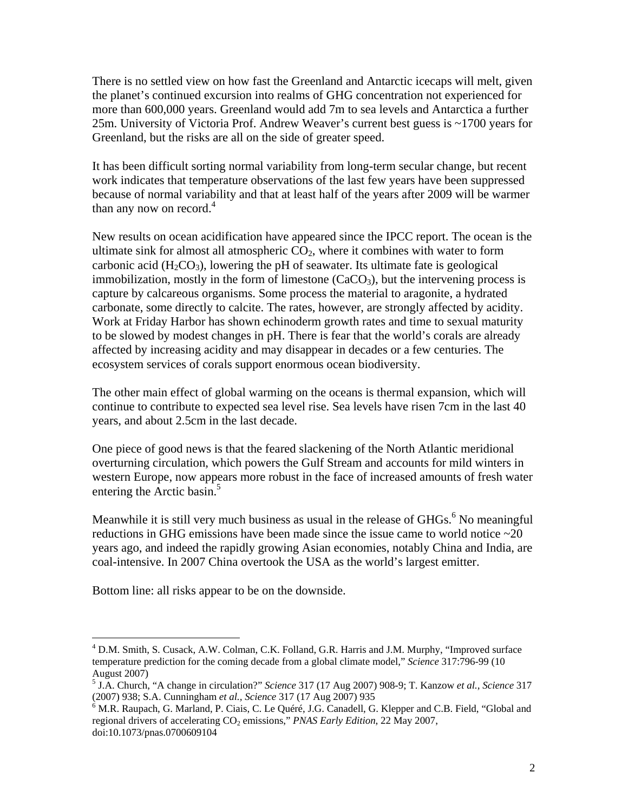There is no settled view on how fast the Greenland and Antarctic icecaps will melt, given the planet's continued excursion into realms of GHG concentration not experienced for more than 600,000 years. Greenland would add 7m to sea levels and Antarctica a further 25m. University of Victoria Prof. Andrew Weaver's current best guess is ~1700 years for Greenland, but the risks are all on the side of greater speed.

It has been difficult sorting normal variability from long-term secular change, but recent work indicates that temperature observations of the last few years have been suppressed because of normal variability and that at least half of the years after 2009 will be warmer than any now on record. $4$ 

New results on ocean acidification have appeared since the IPCC report. The ocean is the ultimate sink for almost all atmospheric  $CO<sub>2</sub>$ , where it combines with water to form carbonic acid  $(H_2CO_3)$ , lowering the pH of seawater. Its ultimate fate is geological immobilization, mostly in the form of limestone  $(CaCO<sub>3</sub>)$ , but the intervening process is capture by calcareous organisms. Some process the material to aragonite, a hydrated carbonate, some directly to calcite. The rates, however, are strongly affected by acidity. Work at Friday Harbor has shown echinoderm growth rates and time to sexual maturity to be slowed by modest changes in pH. There is fear that the world's corals are already affected by increasing acidity and may disappear in decades or a few centuries. The ecosystem services of corals support enormous ocean biodiversity.

The other main effect of global warming on the oceans is thermal expansion, which will continue to contribute to expected sea level rise. Sea levels have risen 7cm in the last 40 years, and about 2.5cm in the last decade.

One piece of good news is that the feared slackening of the North Atlantic meridional overturning circulation, which powers the Gulf Stream and accounts for mild winters in western Europe, now appears more robust in the face of increased amounts of fresh water entering the Arctic basin.<sup>5</sup>

Meanwhile it is still very much business as usual in the release of  $GHGs<sup>6</sup>$  No meaningful reductions in GHG emissions have been made since the issue came to world notice  $\sim$ 20 years ago, and indeed the rapidly growing Asian economies, notably China and India, are coal-intensive. In 2007 China overtook the USA as the world's largest emitter.

Bottom line: all risks appear to be on the downside.

 $\overline{a}$ 

<sup>&</sup>lt;sup>4</sup> D.M. Smith, S. Cusack, A.W. Colman, C.K. Folland, G.R. Harris and J.M. Murphy, "Improved surface temperature prediction for the coming decade from a global climate model," *Science* 317:796-99 (10 August 2007)

<sup>5</sup> J.A. Church, "A change in circulation?" *Science* 317 (17 Aug 2007) 908-9; T. Kanzow *et al., Science* 317

<sup>(2007) 938;</sup> S.A. Cunningham *et al., Science* 317 (17 Aug 2007) 935<br><sup>6</sup> M.R. Raupach, G. Marland, P. Ciais, C. Le Quéré, J.G. Canadell, G. Klepper and C.B. Field, "Global and regional drivers of accelerating CO<sub>2</sub> emissions," *PNAS Early Edition*, 22 May 2007, doi:10.1073/pnas.0700609104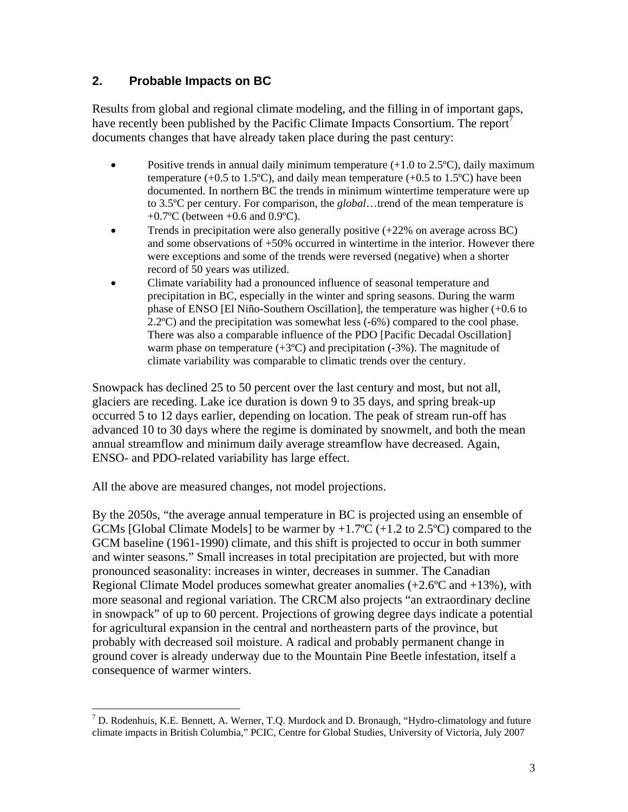# **2. Probable Impacts on BC**

Results from global and regional climate modeling, and the filling in of important gaps, have recently been published by the Pacific Climate Impacts Consortium. The report<sup> $\prime$ </sup> documents changes that have already taken place during the past century:

- Positive trends in annual daily minimum temperature  $(+1.0 \text{ to } 2.5^{\circ}C)$ , daily maximum temperature ( $+0.5$  to 1.5<sup>o</sup>C), and daily mean temperature ( $+0.5$  to 1.5<sup>o</sup>C) have been documented. In northern BC the trends in minimum wintertime temperature were up to 3.5ºC per century. For comparison, the *global*…trend of the mean temperature is  $+0.7$ <sup>o</sup>C (between  $+0.6$  and 0.9<sup>o</sup>C).
- Trends in precipitation were also generally positive  $(+22\%$  on average across BC) and some observations of +50% occurred in wintertime in the interior. However there were exceptions and some of the trends were reversed (negative) when a shorter record of 50 years was utilized.
- Climate variability had a pronounced influence of seasonal temperature and precipitation in BC, especially in the winter and spring seasons. During the warm phase of ENSO [El Niño-Southern Oscillation], the temperature was higher (+0.6 to 2.2ºC) and the precipitation was somewhat less (-6%) compared to the cool phase. There was also a comparable influence of the PDO [Pacific Decadal Oscillation] warm phase on temperature  $(+3^{\circ}C)$  and precipitation  $(-3^{\circ})$ . The magnitude of climate variability was comparable to climatic trends over the century.

Snowpack has declined 25 to 50 percent over the last century and most, but not all, glaciers are receding. Lake ice duration is down 9 to 35 days, and spring break-up occurred 5 to 12 days earlier, depending on location. The peak of stream run-off has advanced 10 to 30 days where the regime is dominated by snowmelt, and both the mean annual streamflow and minimum daily average streamflow have decreased. Again, ENSO- and PDO-related variability has large effect.

All the above are measured changes, not model projections.

 $\overline{a}$ 

By the 2050s, "the average annual temperature in BC is projected using an ensemble of GCMs [Global Climate Models] to be warmer by  $+1.7$ °C ( $+1.2$  to 2.5°C) compared to the GCM baseline (1961-1990) climate, and this shift is projected to occur in both summer and winter seasons." Small increases in total precipitation are projected, but with more pronounced seasonality: increases in winter, decreases in summer. The Canadian Regional Climate Model produces somewhat greater anomalies  $(+2.6^{\circ}C \text{ and } +13\%)$ , with more seasonal and regional variation. The CRCM also projects "an extraordinary decline in snowpack" of up to 60 percent. Projections of growing degree days indicate a potential for agricultural expansion in the central and northeastern parts of the province, but probably with decreased soil moisture. A radical and probably permanent change in ground cover is already underway due to the Mountain Pine Beetle infestation, itself a consequence of warmer winters.

<sup>&</sup>lt;sup>7</sup> D. Rodenhuis, K.E. Bennett, A. Werner, T.Q. Murdock and D. Bronaugh, "Hydro-climatology and future climate impacts in British Columbia," PCIC, Centre for Global Studies, University of Victoria, July 2007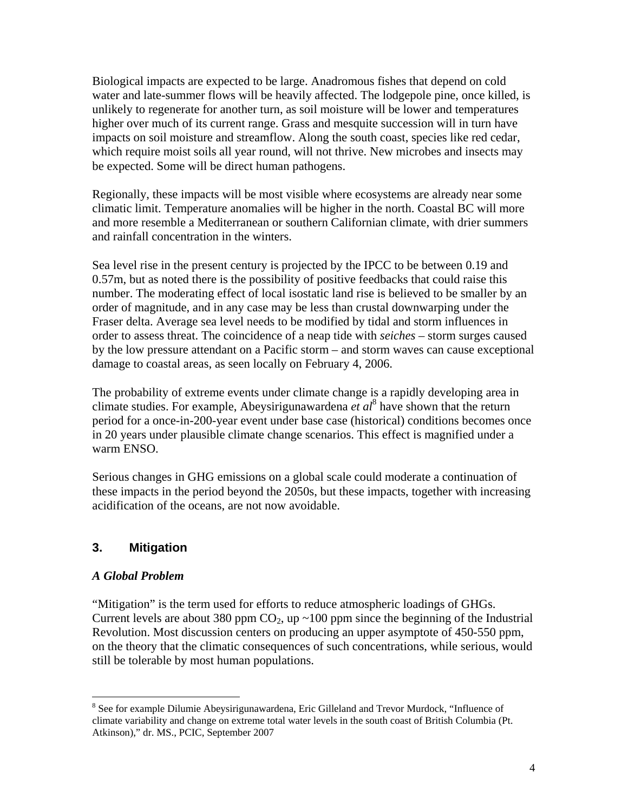Biological impacts are expected to be large. Anadromous fishes that depend on cold water and late-summer flows will be heavily affected. The lodgepole pine, once killed, is unlikely to regenerate for another turn, as soil moisture will be lower and temperatures higher over much of its current range. Grass and mesquite succession will in turn have impacts on soil moisture and streamflow. Along the south coast, species like red cedar, which require moist soils all year round, will not thrive. New microbes and insects may be expected. Some will be direct human pathogens.

Regionally, these impacts will be most visible where ecosystems are already near some climatic limit. Temperature anomalies will be higher in the north. Coastal BC will more and more resemble a Mediterranean or southern Californian climate, with drier summers and rainfall concentration in the winters.

Sea level rise in the present century is projected by the IPCC to be between 0.19 and 0.57m, but as noted there is the possibility of positive feedbacks that could raise this number. The moderating effect of local isostatic land rise is believed to be smaller by an order of magnitude, and in any case may be less than crustal downwarping under the Fraser delta. Average sea level needs to be modified by tidal and storm influences in order to assess threat. The coincidence of a neap tide with *seiches* – storm surges caused by the low pressure attendant on a Pacific storm – and storm waves can cause exceptional damage to coastal areas, as seen locally on February 4, 2006.

The probability of extreme events under climate change is a rapidly developing area in climate studies. For example, Abeysirigunawardena *et al*<sup>8</sup> have shown that the return period for a once-in-200-year event under base case (historical) conditions becomes once in 20 years under plausible climate change scenarios. This effect is magnified under a warm ENSO.

Serious changes in GHG emissions on a global scale could moderate a continuation of these impacts in the period beyond the 2050s, but these impacts, together with increasing acidification of the oceans, are not now avoidable.

## **3. Mitigation**

## *A Global Problem*

"Mitigation" is the term used for efforts to reduce atmospheric loadings of GHGs. Current levels are about 380 ppm  $CO<sub>2</sub>$ , up ~100 ppm since the beginning of the Industrial Revolution. Most discussion centers on producing an upper asymptote of 450-550 ppm, on the theory that the climatic consequences of such concentrations, while serious, would still be tolerable by most human populations.

 $\overline{a}$ <sup>8</sup> See for example Dilumie Abeysirigunawardena, Eric Gilleland and Trevor Murdock, "Influence of climate variability and change on extreme total water levels in the south coast of British Columbia (Pt. Atkinson)," dr. MS., PCIC, September 2007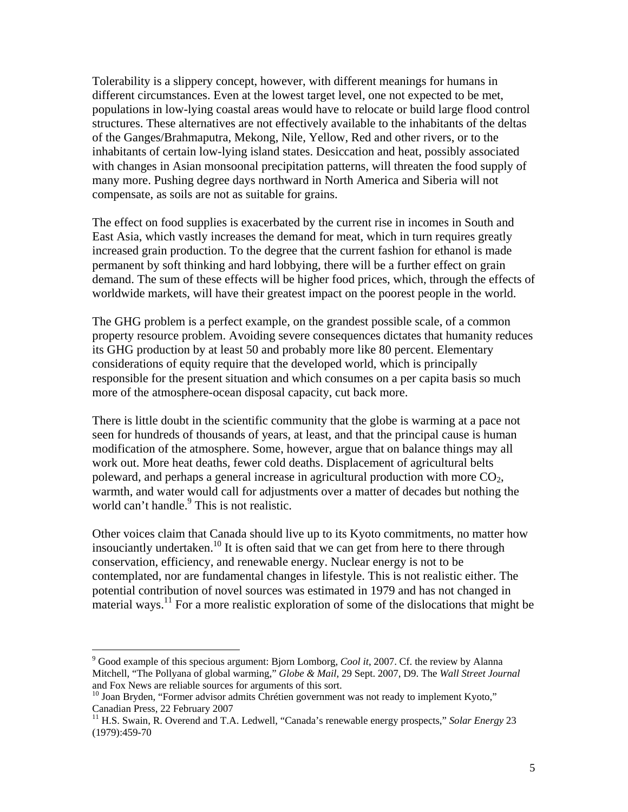Tolerability is a slippery concept, however, with different meanings for humans in different circumstances. Even at the lowest target level, one not expected to be met, populations in low-lying coastal areas would have to relocate or build large flood control structures. These alternatives are not effectively available to the inhabitants of the deltas of the Ganges/Brahmaputra, Mekong, Nile, Yellow, Red and other rivers, or to the inhabitants of certain low-lying island states. Desiccation and heat, possibly associated with changes in Asian monsoonal precipitation patterns, will threaten the food supply of many more. Pushing degree days northward in North America and Siberia will not compensate, as soils are not as suitable for grains.

The effect on food supplies is exacerbated by the current rise in incomes in South and East Asia, which vastly increases the demand for meat, which in turn requires greatly increased grain production. To the degree that the current fashion for ethanol is made permanent by soft thinking and hard lobbying, there will be a further effect on grain demand. The sum of these effects will be higher food prices, which, through the effects of worldwide markets, will have their greatest impact on the poorest people in the world.

The GHG problem is a perfect example, on the grandest possible scale, of a common property resource problem. Avoiding severe consequences dictates that humanity reduces its GHG production by at least 50 and probably more like 80 percent. Elementary considerations of equity require that the developed world, which is principally responsible for the present situation and which consumes on a per capita basis so much more of the atmosphere-ocean disposal capacity, cut back more.

There is little doubt in the scientific community that the globe is warming at a pace not seen for hundreds of thousands of years, at least, and that the principal cause is human modification of the atmosphere. Some, however, argue that on balance things may all work out. More heat deaths, fewer cold deaths. Displacement of agricultural belts poleward, and perhaps a general increase in agricultural production with more  $CO<sub>2</sub>$ , warmth, and water would call for adjustments over a matter of decades but nothing the world can't handle.<sup>9</sup> This is not realistic.

Other voices claim that Canada should live up to its Kyoto commitments, no matter how insouciantly undertaken.<sup>10</sup> It is often said that we can get from here to there through conservation, efficiency, and renewable energy. Nuclear energy is not to be contemplated, nor are fundamental changes in lifestyle. This is not realistic either. The potential contribution of novel sources was estimated in 1979 and has not changed in material ways.<sup>11</sup> For a more realistic exploration of some of the dislocations that might be

 $\overline{a}$ 

<sup>&</sup>lt;sup>9</sup> Good example of this specious argument: Bjorn Lomborg, *Cool it*, 2007. Cf. the review by Alanna Mitchell, "The Pollyana of global warming," *Globe & Mail*, 29 Sept. 2007, D9. The *Wall Street Journal* and Fox News are reliable sources for arguments of this sort.

<sup>&</sup>lt;sup>10</sup> Joan Bryden, "Former advisor admits Chrétien government was not ready to implement Kyoto," Canadian Press, 22 February 2007

<sup>&</sup>lt;sup>11</sup> H.S. Swain, R. Overend and T.A. Ledwell, "Canada's renewable energy prospects," Solar Energy 23 (1979):459-70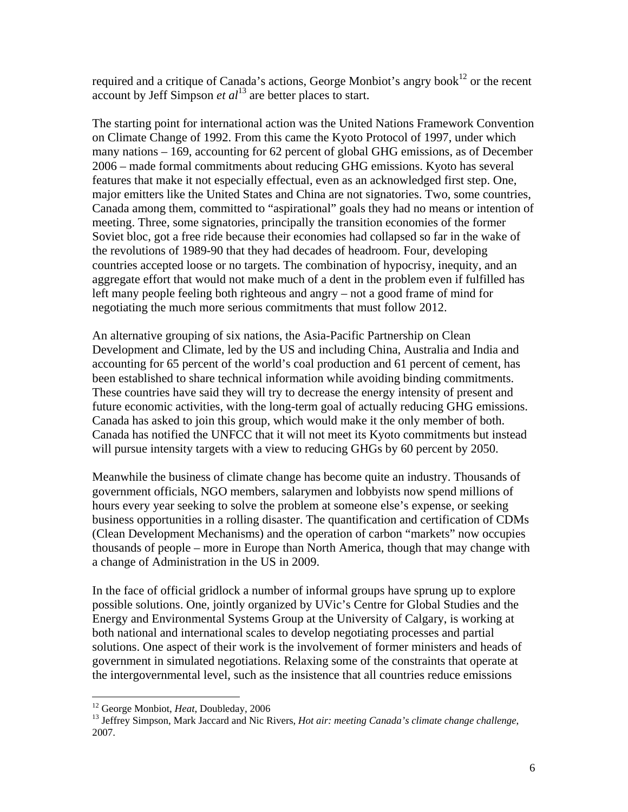required and a critique of Canada's actions, George Monbiot's angry book<sup>12</sup> or the recent account by Jeff Simpson *et al*13 are better places to start.

The starting point for international action was the United Nations Framework Convention on Climate Change of 1992. From this came the Kyoto Protocol of 1997, under which many nations – 169, accounting for 62 percent of global GHG emissions, as of December 2006 – made formal commitments about reducing GHG emissions. Kyoto has several features that make it not especially effectual, even as an acknowledged first step. One, major emitters like the United States and China are not signatories. Two, some countries, Canada among them, committed to "aspirational" goals they had no means or intention of meeting. Three, some signatories, principally the transition economies of the former Soviet bloc, got a free ride because their economies had collapsed so far in the wake of the revolutions of 1989-90 that they had decades of headroom. Four, developing countries accepted loose or no targets. The combination of hypocrisy, inequity, and an aggregate effort that would not make much of a dent in the problem even if fulfilled has left many people feeling both righteous and angry – not a good frame of mind for negotiating the much more serious commitments that must follow 2012.

An alternative grouping of six nations, the Asia-Pacific Partnership on Clean Development and Climate, led by the US and including China, Australia and India and accounting for 65 percent of the world's coal production and 61 percent of cement, has been established to share technical information while avoiding binding commitments. These countries have said they will try to decrease the energy intensity of present and future economic activities, with the long-term goal of actually reducing GHG emissions. Canada has asked to join this group, which would make it the only member of both. Canada has notified the UNFCC that it will not meet its Kyoto commitments but instead will pursue intensity targets with a view to reducing GHGs by 60 percent by 2050.

Meanwhile the business of climate change has become quite an industry. Thousands of government officials, NGO members, salarymen and lobbyists now spend millions of hours every year seeking to solve the problem at someone else's expense, or seeking business opportunities in a rolling disaster. The quantification and certification of CDMs (Clean Development Mechanisms) and the operation of carbon "markets" now occupies thousands of people – more in Europe than North America, though that may change with a change of Administration in the US in 2009.

In the face of official gridlock a number of informal groups have sprung up to explore possible solutions. One, jointly organized by UVic's Centre for Global Studies and the Energy and Environmental Systems Group at the University of Calgary, is working at both national and international scales to develop negotiating processes and partial solutions. One aspect of their work is the involvement of former ministers and heads of government in simulated negotiations. Relaxing some of the constraints that operate at the intergovernmental level, such as the insistence that all countries reduce emissions

<sup>&</sup>lt;sup>12</sup> George Monbiot, *Heat*, Doubleday, 2006

<sup>&</sup>lt;sup>13</sup> Jeffrey Simpson, Mark Jaccard and Nic Rivers, *Hot air: meeting Canada's climate change challenge*, 2007.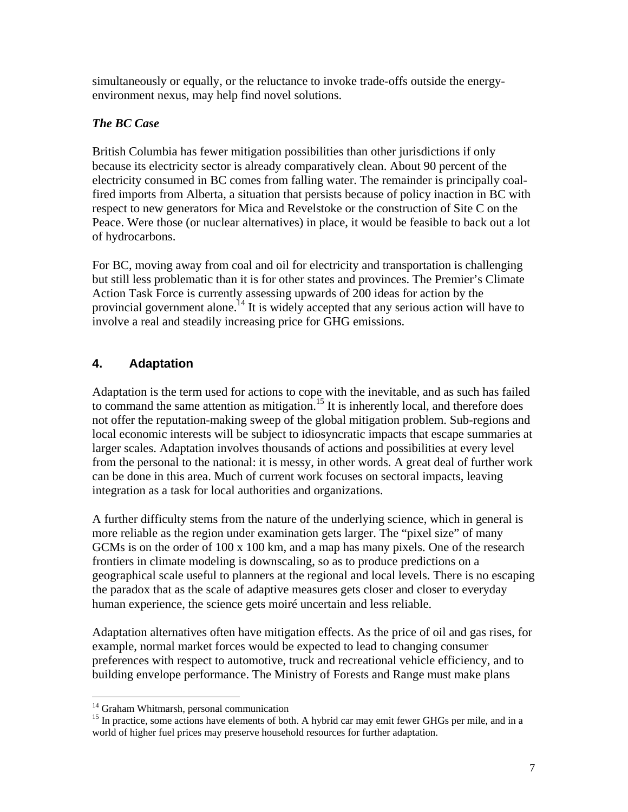simultaneously or equally, or the reluctance to invoke trade-offs outside the energyenvironment nexus, may help find novel solutions.

# *The BC Case*

British Columbia has fewer mitigation possibilities than other jurisdictions if only because its electricity sector is already comparatively clean. About 90 percent of the electricity consumed in BC comes from falling water. The remainder is principally coalfired imports from Alberta, a situation that persists because of policy inaction in BC with respect to new generators for Mica and Revelstoke or the construction of Site C on the Peace. Were those (or nuclear alternatives) in place, it would be feasible to back out a lot of hydrocarbons.

For BC, moving away from coal and oil for electricity and transportation is challenging but still less problematic than it is for other states and provinces. The Premier's Climate Action Task Force is currently assessing upwards of 200 ideas for action by the provincial government alone.<sup>14</sup> It is widely accepted that any serious action will have to involve a real and steadily increasing price for GHG emissions.

# **4. Adaptation**

Adaptation is the term used for actions to cope with the inevitable, and as such has failed to command the same attention as mitigation.<sup>15</sup> It is inherently local, and therefore does not offer the reputation-making sweep of the global mitigation problem. Sub-regions and local economic interests will be subject to idiosyncratic impacts that escape summaries at larger scales. Adaptation involves thousands of actions and possibilities at every level from the personal to the national: it is messy, in other words. A great deal of further work can be done in this area. Much of current work focuses on sectoral impacts, leaving integration as a task for local authorities and organizations.

A further difficulty stems from the nature of the underlying science, which in general is more reliable as the region under examination gets larger. The "pixel size" of many GCMs is on the order of 100 x 100 km, and a map has many pixels. One of the research frontiers in climate modeling is downscaling, so as to produce predictions on a geographical scale useful to planners at the regional and local levels. There is no escaping the paradox that as the scale of adaptive measures gets closer and closer to everyday human experience, the science gets moiré uncertain and less reliable.

Adaptation alternatives often have mitigation effects. As the price of oil and gas rises, for example, normal market forces would be expected to lead to changing consumer preferences with respect to automotive, truck and recreational vehicle efficiency, and to building envelope performance. The Ministry of Forests and Range must make plans

1

<sup>&</sup>lt;sup>14</sup> Graham Whitmarsh, personal communication

<sup>&</sup>lt;sup>15</sup> In practice, some actions have elements of both. A hybrid car may emit fewer GHGs per mile, and in a world of higher fuel prices may preserve household resources for further adaptation.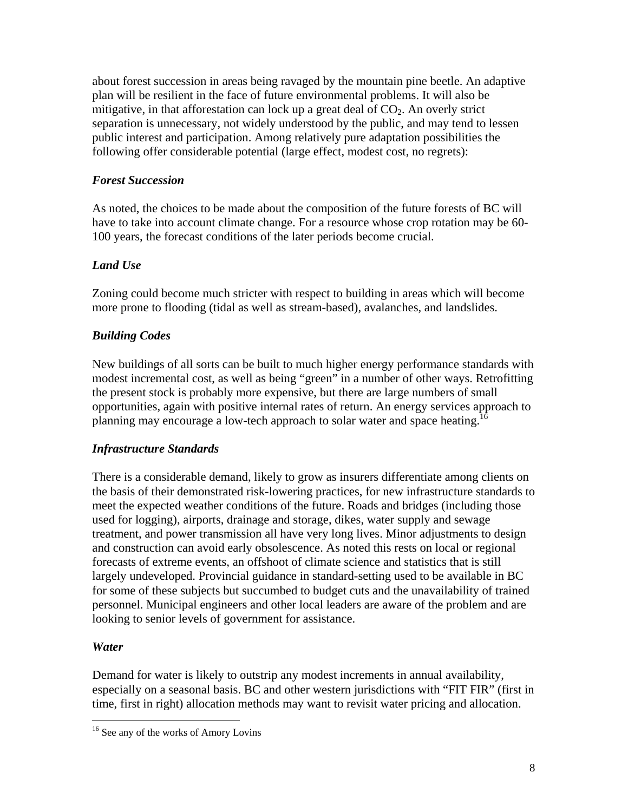about forest succession in areas being ravaged by the mountain pine beetle. An adaptive plan will be resilient in the face of future environmental problems. It will also be mitigative, in that afforestation can lock up a great deal of  $CO<sub>2</sub>$ . An overly strict separation is unnecessary, not widely understood by the public, and may tend to lessen public interest and participation. Among relatively pure adaptation possibilities the following offer considerable potential (large effect, modest cost, no regrets):

## *Forest Succession*

As noted, the choices to be made about the composition of the future forests of BC will have to take into account climate change. For a resource whose crop rotation may be 60- 100 years, the forecast conditions of the later periods become crucial.

# *Land Use*

Zoning could become much stricter with respect to building in areas which will become more prone to flooding (tidal as well as stream-based), avalanches, and landslides.

# *Building Codes*

New buildings of all sorts can be built to much higher energy performance standards with modest incremental cost, as well as being "green" in a number of other ways. Retrofitting the present stock is probably more expensive, but there are large numbers of small opportunities, again with positive internal rates of return. An energy services approach to planning may encourage a low-tech approach to solar water and space heating.<sup>16</sup>

## *Infrastructure Standards*

There is a considerable demand, likely to grow as insurers differentiate among clients on the basis of their demonstrated risk-lowering practices, for new infrastructure standards to meet the expected weather conditions of the future. Roads and bridges (including those used for logging), airports, drainage and storage, dikes, water supply and sewage treatment, and power transmission all have very long lives. Minor adjustments to design and construction can avoid early obsolescence. As noted this rests on local or regional forecasts of extreme events, an offshoot of climate science and statistics that is still largely undeveloped. Provincial guidance in standard-setting used to be available in BC for some of these subjects but succumbed to budget cuts and the unavailability of trained personnel. Municipal engineers and other local leaders are aware of the problem and are looking to senior levels of government for assistance.

## *Water*

 $\overline{a}$ 

Demand for water is likely to outstrip any modest increments in annual availability, especially on a seasonal basis. BC and other western jurisdictions with "FIT FIR" (first in time, first in right) allocation methods may want to revisit water pricing and allocation.

<sup>&</sup>lt;sup>16</sup> See any of the works of Amory Lovins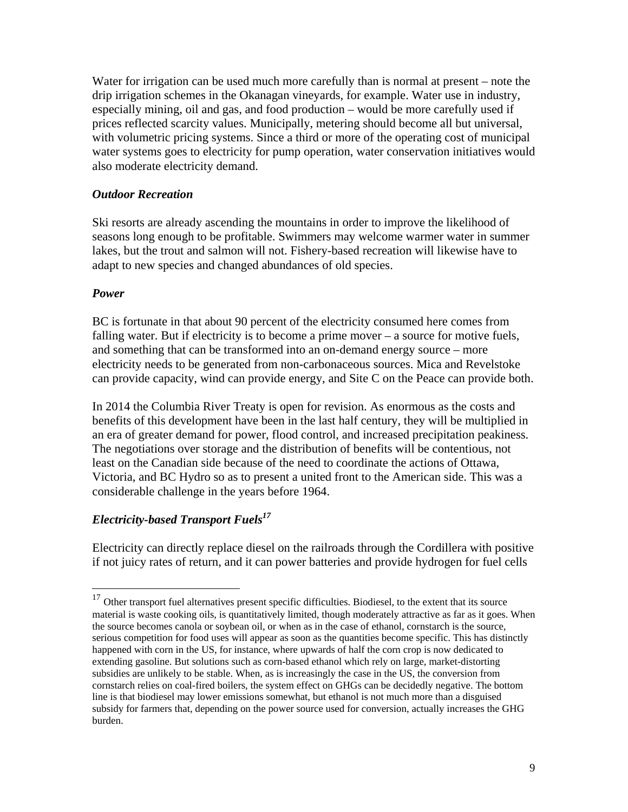Water for irrigation can be used much more carefully than is normal at present – note the drip irrigation schemes in the Okanagan vineyards, for example. Water use in industry, especially mining, oil and gas, and food production – would be more carefully used if prices reflected scarcity values. Municipally, metering should become all but universal, with volumetric pricing systems. Since a third or more of the operating cost of municipal water systems goes to electricity for pump operation, water conservation initiatives would also moderate electricity demand.

#### *Outdoor Recreation*

Ski resorts are already ascending the mountains in order to improve the likelihood of seasons long enough to be profitable. Swimmers may welcome warmer water in summer lakes, but the trout and salmon will not. Fishery-based recreation will likewise have to adapt to new species and changed abundances of old species.

#### *Power*

 $\overline{a}$ 

BC is fortunate in that about 90 percent of the electricity consumed here comes from falling water. But if electricity is to become a prime mover – a source for motive fuels, and something that can be transformed into an on-demand energy source – more electricity needs to be generated from non-carbonaceous sources. Mica and Revelstoke can provide capacity, wind can provide energy, and Site C on the Peace can provide both.

In 2014 the Columbia River Treaty is open for revision. As enormous as the costs and benefits of this development have been in the last half century, they will be multiplied in an era of greater demand for power, flood control, and increased precipitation peakiness. The negotiations over storage and the distribution of benefits will be contentious, not least on the Canadian side because of the need to coordinate the actions of Ottawa, Victoria, and BC Hydro so as to present a united front to the American side. This was a considerable challenge in the years before 1964.

## *Electricity-based Transport Fuels<sup>17</sup>*

Electricity can directly replace diesel on the railroads through the Cordillera with positive if not juicy rates of return, and it can power batteries and provide hydrogen for fuel cells

<sup>&</sup>lt;sup>17</sup> Other transport fuel alternatives present specific difficulties. Biodiesel, to the extent that its source material is waste cooking oils, is quantitatively limited, though moderately attractive as far as it goes. When the source becomes canola or soybean oil, or when as in the case of ethanol, cornstarch is the source, serious competition for food uses will appear as soon as the quantities become specific. This has distinctly happened with corn in the US, for instance, where upwards of half the corn crop is now dedicated to extending gasoline. But solutions such as corn-based ethanol which rely on large, market-distorting subsidies are unlikely to be stable. When, as is increasingly the case in the US, the conversion from cornstarch relies on coal-fired boilers, the system effect on GHGs can be decidedly negative. The bottom line is that biodiesel may lower emissions somewhat, but ethanol is not much more than a disguised subsidy for farmers that, depending on the power source used for conversion, actually increases the GHG burden.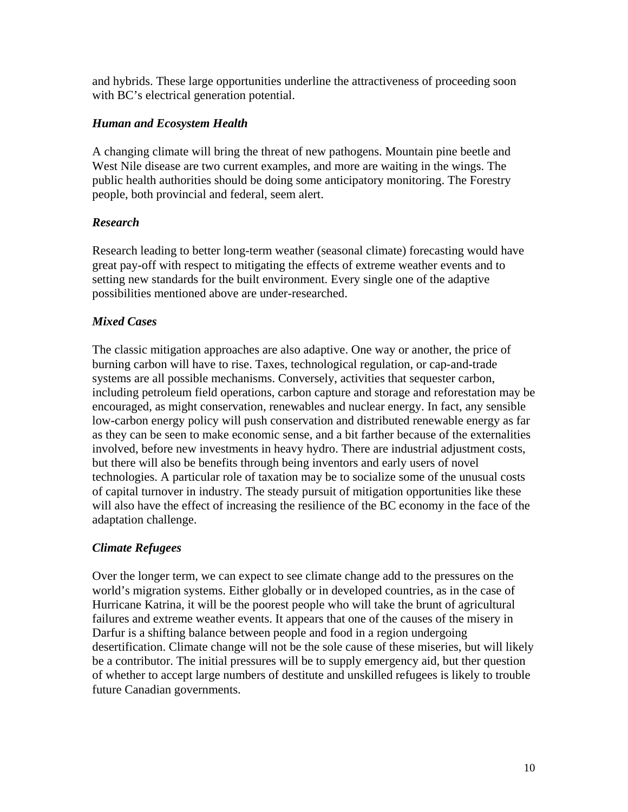and hybrids. These large opportunities underline the attractiveness of proceeding soon with BC's electrical generation potential.

## *Human and Ecosystem Health*

A changing climate will bring the threat of new pathogens. Mountain pine beetle and West Nile disease are two current examples, and more are waiting in the wings. The public health authorities should be doing some anticipatory monitoring. The Forestry people, both provincial and federal, seem alert.

# *Research*

Research leading to better long-term weather (seasonal climate) forecasting would have great pay-off with respect to mitigating the effects of extreme weather events and to setting new standards for the built environment. Every single one of the adaptive possibilities mentioned above are under-researched.

# *Mixed Cases*

The classic mitigation approaches are also adaptive. One way or another, the price of burning carbon will have to rise. Taxes, technological regulation, or cap-and-trade systems are all possible mechanisms. Conversely, activities that sequester carbon, including petroleum field operations, carbon capture and storage and reforestation may be encouraged, as might conservation, renewables and nuclear energy. In fact, any sensible low-carbon energy policy will push conservation and distributed renewable energy as far as they can be seen to make economic sense, and a bit farther because of the externalities involved, before new investments in heavy hydro. There are industrial adjustment costs, but there will also be benefits through being inventors and early users of novel technologies. A particular role of taxation may be to socialize some of the unusual costs of capital turnover in industry. The steady pursuit of mitigation opportunities like these will also have the effect of increasing the resilience of the BC economy in the face of the adaptation challenge.

# *Climate Refugees*

Over the longer term, we can expect to see climate change add to the pressures on the world's migration systems. Either globally or in developed countries, as in the case of Hurricane Katrina, it will be the poorest people who will take the brunt of agricultural failures and extreme weather events. It appears that one of the causes of the misery in Darfur is a shifting balance between people and food in a region undergoing desertification. Climate change will not be the sole cause of these miseries, but will likely be a contributor. The initial pressures will be to supply emergency aid, but ther question of whether to accept large numbers of destitute and unskilled refugees is likely to trouble future Canadian governments.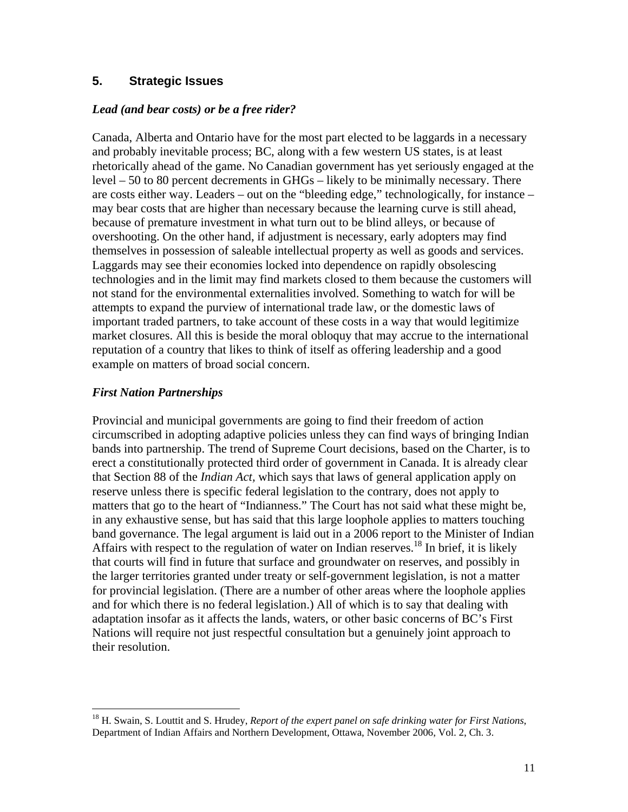## **5. Strategic Issues**

## *Lead (and bear costs) or be a free rider?*

Canada, Alberta and Ontario have for the most part elected to be laggards in a necessary and probably inevitable process; BC, along with a few western US states, is at least rhetorically ahead of the game. No Canadian government has yet seriously engaged at the level – 50 to 80 percent decrements in GHGs – likely to be minimally necessary. There are costs either way. Leaders – out on the "bleeding edge," technologically, for instance – may bear costs that are higher than necessary because the learning curve is still ahead, because of premature investment in what turn out to be blind alleys, or because of overshooting. On the other hand, if adjustment is necessary, early adopters may find themselves in possession of saleable intellectual property as well as goods and services. Laggards may see their economies locked into dependence on rapidly obsolescing technologies and in the limit may find markets closed to them because the customers will not stand for the environmental externalities involved. Something to watch for will be attempts to expand the purview of international trade law, or the domestic laws of important traded partners, to take account of these costs in a way that would legitimize market closures. All this is beside the moral obloquy that may accrue to the international reputation of a country that likes to think of itself as offering leadership and a good example on matters of broad social concern.

## *First Nation Partnerships*

 $\overline{a}$ 

Provincial and municipal governments are going to find their freedom of action circumscribed in adopting adaptive policies unless they can find ways of bringing Indian bands into partnership. The trend of Supreme Court decisions, based on the Charter, is to erect a constitutionally protected third order of government in Canada. It is already clear that Section 88 of the *Indian Act,* which says that laws of general application apply on reserve unless there is specific federal legislation to the contrary, does not apply to matters that go to the heart of "Indianness." The Court has not said what these might be, in any exhaustive sense, but has said that this large loophole applies to matters touching band governance. The legal argument is laid out in a 2006 report to the Minister of Indian Affairs with respect to the regulation of water on Indian reserves.<sup>18</sup> In brief, it is likely that courts will find in future that surface and groundwater on reserves, and possibly in the larger territories granted under treaty or self-government legislation, is not a matter for provincial legislation. (There are a number of other areas where the loophole applies and for which there is no federal legislation.) All of which is to say that dealing with adaptation insofar as it affects the lands, waters, or other basic concerns of BC's First Nations will require not just respectful consultation but a genuinely joint approach to their resolution.

<sup>18</sup> H. Swain, S. Louttit and S. Hrudey, *Report of the expert panel on safe drinking water for First Nations*, Department of Indian Affairs and Northern Development, Ottawa, November 2006, Vol. 2, Ch. 3.